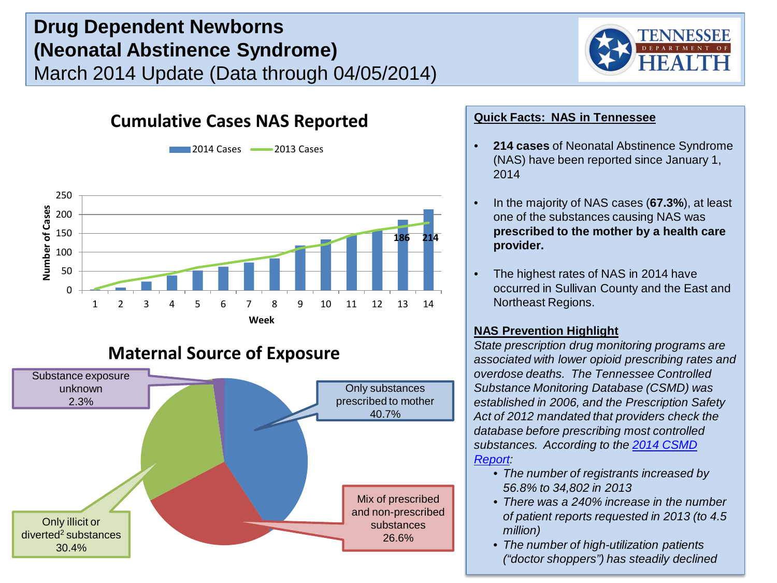# **Drug Dependent Newborns (Neonatal Abstinence Syndrome)** March 2014 Update (Data through 04/05/2014)



## **Cumulative Cases NAS Reported**



**2014 Cases 2013 Cases** 

## **Maternal Source of Exposure**



#### **Quick Facts: NAS in Tennessee**

- **214 cases** of Neonatal Abstinence Syndrome (NAS) have been reported since January 1, 2014
- In the majority of NAS cases (**67.3%**), at least one of the substances causing NAS was **prescribed to the mother by a health care provider.**
- The highest rates of NAS in 2014 have occurred in Sullivan County and the East and Northeast Regions.

#### **NAS Prevention Highlight**

*State prescription drug monitoring programs are associated with lower opioid prescribing rates and overdose deaths. The Tennessee Controlled Substance Monitoring Database (CSMD) was established in 2006, and the Prescription Safety Act of 2012 mandated that providers check the database before prescribing most controlled substances. According to the [2014 CSMD](https://health.state.tn.us/statistics/Legislative_Reports_PDF/CSMD_AnnualReport_2014.pdf)  [Report](https://health.state.tn.us/statistics/Legislative_Reports_PDF/CSMD_AnnualReport_2014.pdf):*

- *The number of registrants increased by 56.8% to 34,802 in 2013*
- *There was a 240% increase in the number of patient reports requested in 2013 (to 4.5 million)*
- *The number of high-utilization patients ("doctor shoppers") has steadily declined*